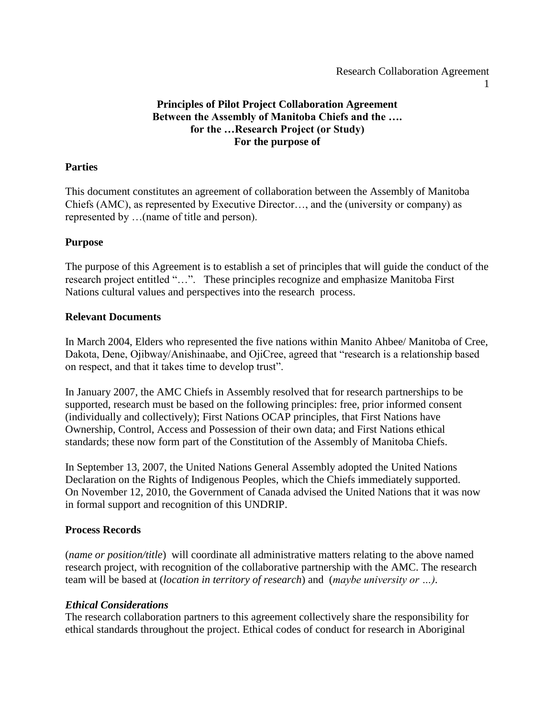#### Research Collaboration Agreement

1

## **Principles of Pilot Project Collaboration Agreement Between the Assembly of Manitoba Chiefs and the …. for the …Research Project (or Study) For the purpose of**

#### **Parties**

This document constitutes an agreement of collaboration between the Assembly of Manitoba Chiefs (AMC), as represented by Executive Director…, and the (university or company) as represented by …(name of title and person).

## **Purpose**

The purpose of this Agreement is to establish a set of principles that will guide the conduct of the research project entitled "…". These principles recognize and emphasize Manitoba First Nations cultural values and perspectives into the research process.

#### **Relevant Documents**

In March 2004, Elders who represented the five nations within Manito Ahbee/ Manitoba of Cree, Dakota, Dene, Ojibway/Anishinaabe, and OjiCree, agreed that "research is a relationship based on respect, and that it takes time to develop trust".

In January 2007, the AMC Chiefs in Assembly resolved that for research partnerships to be supported, research must be based on the following principles: free, prior informed consent (individually and collectively); First Nations OCAP principles, that First Nations have Ownership, Control, Access and Possession of their own data; and First Nations ethical standards; these now form part of the Constitution of the Assembly of Manitoba Chiefs.

In September 13, 2007, the United Nations General Assembly adopted the United Nations Declaration on the Rights of Indigenous Peoples, which the Chiefs immediately supported. On November 12, 2010, the Government of Canada advised the United Nations that it was now in formal support and recognition of this UNDRIP.

## **Process Records**

(*name or position/title*) will coordinate all administrative matters relating to the above named research project, with recognition of the collaborative partnership with the AMC. The research team will be based at (*location in territory of research*) and (*maybe university or …).*

## *Ethical Considerations*

The research collaboration partners to this agreement collectively share the responsibility for ethical standards throughout the project. Ethical codes of conduct for research in Aboriginal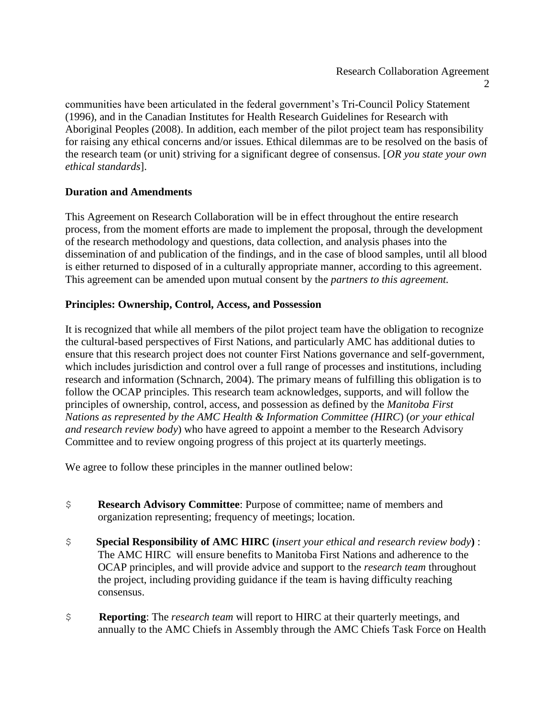communities have been articulated in the federal government's Tri-Council Policy Statement (1996), and in the Canadian Institutes for Health Research Guidelines for Research with Aboriginal Peoples (2008). In addition, each member of the pilot project team has responsibility for raising any ethical concerns and/or issues. Ethical dilemmas are to be resolved on the basis of the research team (or unit) striving for a significant degree of consensus. [*OR you state your own ethical standards*].

# **Duration and Amendments**

This Agreement on Research Collaboration will be in effect throughout the entire research process, from the moment efforts are made to implement the proposal, through the development of the research methodology and questions, data collection, and analysis phases into the dissemination of and publication of the findings, and in the case of blood samples, until all blood is either returned to disposed of in a culturally appropriate manner, according to this agreement. This agreement can be amended upon mutual consent by the *partners to this agreement.*

## **Principles: Ownership, Control, Access, and Possession**

It is recognized that while all members of the pilot project team have the obligation to recognize the cultural-based perspectives of First Nations, and particularly AMC has additional duties to ensure that this research project does not counter First Nations governance and self-government, which includes jurisdiction and control over a full range of processes and institutions, including research and information (Schnarch, 2004). The primary means of fulfilling this obligation is to follow the OCAP principles. This research team acknowledges, supports, and will follow the principles of ownership, control, access, and possession as defined by the *Manitoba First Nations as represented by the AMC Health & Information Committee (HIRC*) (*or your ethical and research review body*) who have agreed to appoint a member to the Research Advisory Committee and to review ongoing progress of this project at its quarterly meetings.

We agree to follow these principles in the manner outlined below:

- \$ **Research Advisory Committee**: Purpose of committee; name of members and organization representing; frequency of meetings; location.
- \$ **Special Responsibility of AMC HIRC (***insert your ethical and research review body***)** : The AMC HIRC will ensure benefits to Manitoba First Nations and adherence to the OCAP principles, and will provide advice and support to the *research team* throughout the project, including providing guidance if the team is having difficulty reaching consensus.
- \$ **Reporting**: The *research team* will report to HIRC at their quarterly meetings, and annually to the AMC Chiefs in Assembly through the AMC Chiefs Task Force on Health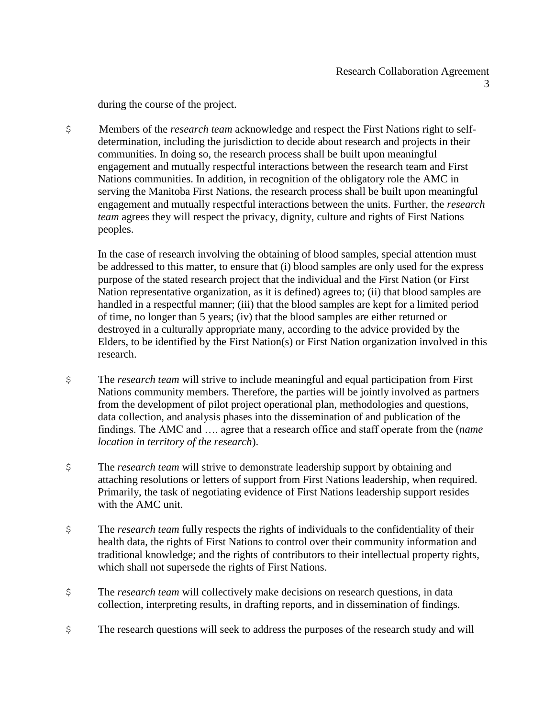during the course of the project.

\$ Members of the *research team* acknowledge and respect the First Nations right to selfdetermination, including the jurisdiction to decide about research and projects in their communities. In doing so, the research process shall be built upon meaningful engagement and mutually respectful interactions between the research team and First Nations communities. In addition, in recognition of the obligatory role the AMC in serving the Manitoba First Nations, the research process shall be built upon meaningful engagement and mutually respectful interactions between the units. Further, the *research team* agrees they will respect the privacy, dignity, culture and rights of First Nations peoples.

In the case of research involving the obtaining of blood samples, special attention must be addressed to this matter, to ensure that (i) blood samples are only used for the express purpose of the stated research project that the individual and the First Nation (or First Nation representative organization, as it is defined) agrees to; (ii) that blood samples are handled in a respectful manner; (iii) that the blood samples are kept for a limited period of time, no longer than 5 years; (iv) that the blood samples are either returned or destroyed in a culturally appropriate many, according to the advice provided by the Elders, to be identified by the First Nation(s) or First Nation organization involved in this research.

- \$ The *research team* will strive to include meaningful and equal participation from First Nations community members. Therefore, the parties will be jointly involved as partners from the development of pilot project operational plan, methodologies and questions, data collection, and analysis phases into the dissemination of and publication of the findings. The AMC and …. agree that a research office and staff operate from the (*name location in territory of the research*).
- \$ The *research team* will strive to demonstrate leadership support by obtaining and attaching resolutions or letters of support from First Nations leadership, when required. Primarily, the task of negotiating evidence of First Nations leadership support resides with the AMC unit.
- \$ The *research team* fully respects the rights of individuals to the confidentiality of their health data, the rights of First Nations to control over their community information and traditional knowledge; and the rights of contributors to their intellectual property rights, which shall not supersede the rights of First Nations.
- \$ The *research team* will collectively make decisions on research questions, in data collection, interpreting results, in drafting reports, and in dissemination of findings.
- \$ The research questions will seek to address the purposes of the research study and will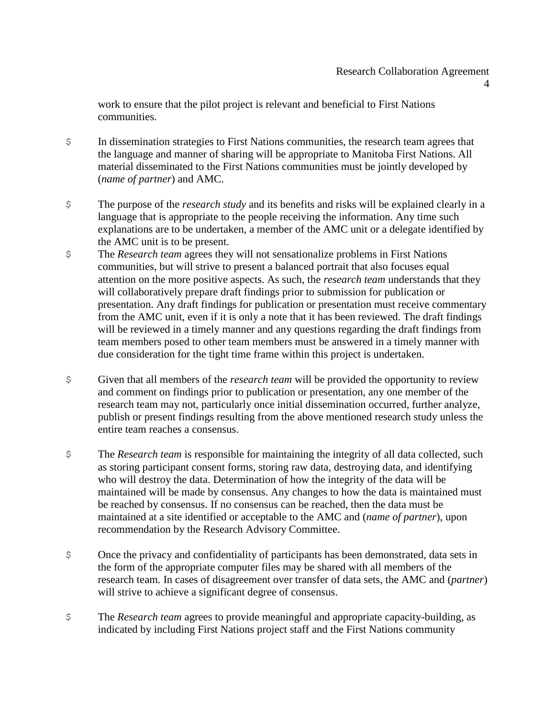4

work to ensure that the pilot project is relevant and beneficial to First Nations communities.

- \$ In dissemination strategies to First Nations communities, the research team agrees that the language and manner of sharing will be appropriate to Manitoba First Nations. All material disseminated to the First Nations communities must be jointly developed by (*name of partner*) and AMC.
- \$ The purpose of the *research study* and its benefits and risks will be explained clearly in a language that is appropriate to the people receiving the information. Any time such explanations are to be undertaken, a member of the AMC unit or a delegate identified by the AMC unit is to be present.
- \$ The *Research team* agrees they will not sensationalize problems in First Nations communities, but will strive to present a balanced portrait that also focuses equal attention on the more positive aspects. As such, the *research team* understands that they will collaboratively prepare draft findings prior to submission for publication or presentation. Any draft findings for publication or presentation must receive commentary from the AMC unit, even if it is only a note that it has been reviewed. The draft findings will be reviewed in a timely manner and any questions regarding the draft findings from team members posed to other team members must be answered in a timely manner with due consideration for the tight time frame within this project is undertaken.
- \$ Given that all members of the *research team* will be provided the opportunity to review and comment on findings prior to publication or presentation, any one member of the research team may not, particularly once initial dissemination occurred, further analyze, publish or present findings resulting from the above mentioned research study unless the entire team reaches a consensus.
- \$ The *Research team* is responsible for maintaining the integrity of all data collected, such as storing participant consent forms, storing raw data, destroying data, and identifying who will destroy the data. Determination of how the integrity of the data will be maintained will be made by consensus. Any changes to how the data is maintained must be reached by consensus. If no consensus can be reached, then the data must be maintained at a site identified or acceptable to the AMC and (*name of partner*), upon recommendation by the Research Advisory Committee.
- \$ Once the privacy and confidentiality of participants has been demonstrated, data sets in the form of the appropriate computer files may be shared with all members of the research team. In cases of disagreement over transfer of data sets, the AMC and (*partner*) will strive to achieve a significant degree of consensus.
- \$ The *Research team* agrees to provide meaningful and appropriate capacity-building, as indicated by including First Nations project staff and the First Nations community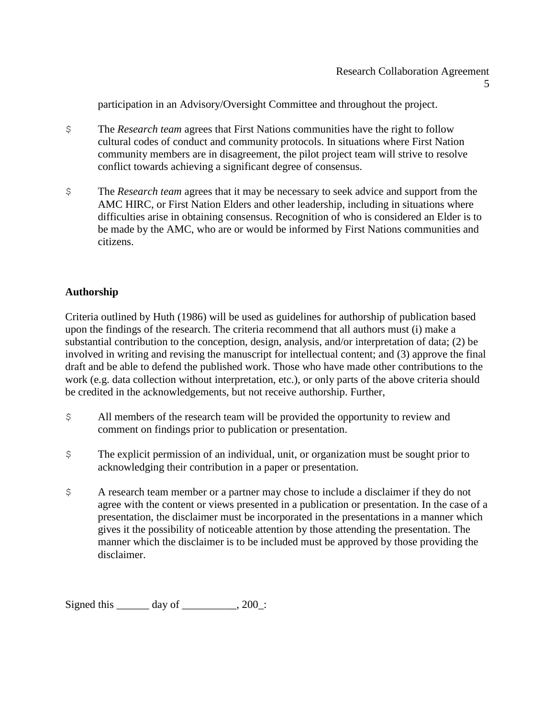participation in an Advisory/Oversight Committee and throughout the project.

- \$ The *Research team* agrees that First Nations communities have the right to follow cultural codes of conduct and community protocols. In situations where First Nation community members are in disagreement, the pilot project team will strive to resolve conflict towards achieving a significant degree of consensus.
- \$ The *Research team* agrees that it may be necessary to seek advice and support from the AMC HIRC, or First Nation Elders and other leadership, including in situations where difficulties arise in obtaining consensus. Recognition of who is considered an Elder is to be made by the AMC, who are or would be informed by First Nations communities and citizens.

# **Authorship**

Criteria outlined by Huth (1986) will be used as guidelines for authorship of publication based upon the findings of the research. The criteria recommend that all authors must (i) make a substantial contribution to the conception, design, analysis, and/or interpretation of data; (2) be involved in writing and revising the manuscript for intellectual content; and (3) approve the final draft and be able to defend the published work. Those who have made other contributions to the work (e.g. data collection without interpretation, etc.), or only parts of the above criteria should be credited in the acknowledgements, but not receive authorship. Further,

- \$ All members of the research team will be provided the opportunity to review and comment on findings prior to publication or presentation.
- \$ The explicit permission of an individual, unit, or organization must be sought prior to acknowledging their contribution in a paper or presentation.
- \$ A research team member or a partner may chose to include a disclaimer if they do not agree with the content or views presented in a publication or presentation. In the case of a presentation, the disclaimer must be incorporated in the presentations in a manner which gives it the possibility of noticeable attention by those attending the presentation. The manner which the disclaimer is to be included must be approved by those providing the disclaimer.

Signed this  $\_\_\_\_\$  day of  $\_\_\_\_\_\$ , 200 $\_\$ :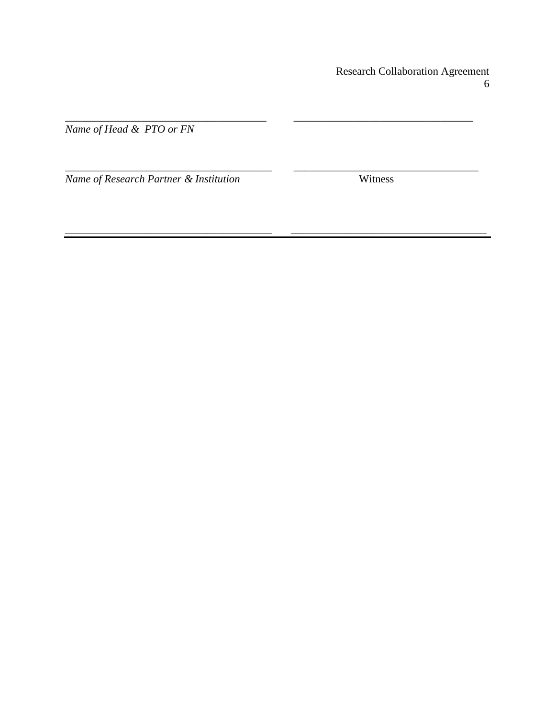**Research Collaboration Agreement**  $\sqrt{6}$ 

Name of Head & PTO or FN

Name of Research Partner & Institution

Witness